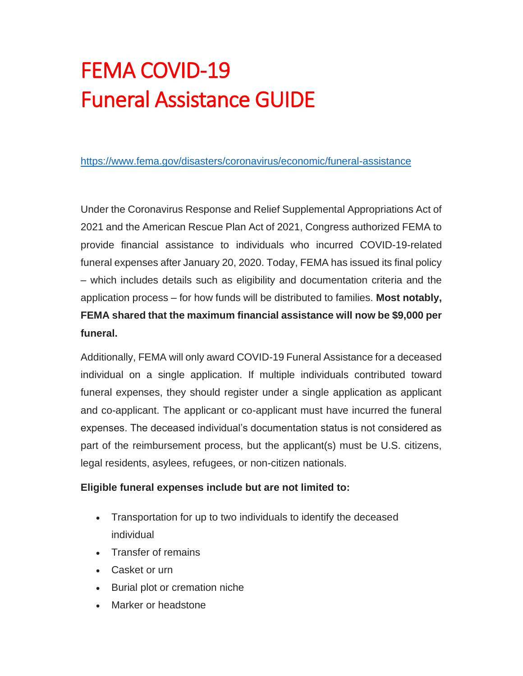# FEMA COVID-19 Funeral Assistance GUIDE

<https://www.fema.gov/disasters/coronavirus/economic/funeral-assistance>

Under the Coronavirus Response and Relief Supplemental Appropriations Act of 2021 and the American Rescue Plan Act of 2021, Congress authorized FEMA to provide financial assistance to individuals who incurred COVID-19-related funeral expenses after January 20, 2020. Today, FEMA has issued its final policy – which includes details such as eligibility and documentation criteria and the application process – for how funds will be distributed to families. **Most notably, FEMA shared that the maximum financial assistance will now be \$9,000 per funeral.**

Additionally, FEMA will only award COVID-19 Funeral Assistance for a deceased individual on a single application. If multiple individuals contributed toward funeral expenses, they should register under a single application as applicant and co-applicant. The applicant or co-applicant must have incurred the funeral expenses. The deceased individual's documentation status is not considered as part of the reimbursement process, but the applicant(s) must be U.S. citizens, legal residents, asylees, refugees, or non-citizen nationals.

#### **Eligible funeral expenses include but are not limited to:**

- Transportation for up to two individuals to identify the deceased individual
- Transfer of remains
- Casket or urn
- Burial plot or cremation niche
- Marker or headstone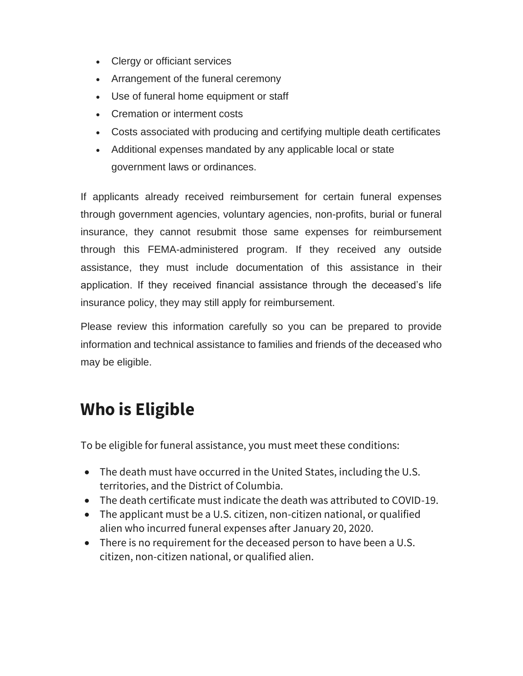- Clergy or officiant services
- Arrangement of the funeral ceremony
- Use of funeral home equipment or staff
- Cremation or interment costs
- Costs associated with producing and certifying multiple death certificates
- Additional expenses mandated by any applicable local or state government laws or ordinances.

If applicants already received reimbursement for certain funeral expenses through government agencies, voluntary agencies, non-profits, burial or funeral insurance, they cannot resubmit those same expenses for reimbursement through this FEMA-administered program. If they received any outside assistance, they must include documentation of this assistance in their application. If they received financial assistance through the deceased's life insurance policy, they may still apply for reimbursement.

Please review this information carefully so you can be prepared to provide information and technical assistance to families and friends of the deceased who may be eligible.

## **Who is Eligible**

To be eligible for funeral assistance, you must meet these conditions:

- The death must have occurred in the United States, including the U.S. territories, and the District of Columbia.
- The death certificate must indicate the death was attributed to COVID-19.
- The applicant must be a U.S. citizen, non-citizen national, or qualified alien who incurred funeral expenses after January 20, 2020.
- There is no requirement for the deceased person to have been a U.S. citizen, non-citizen national, or qualified alien.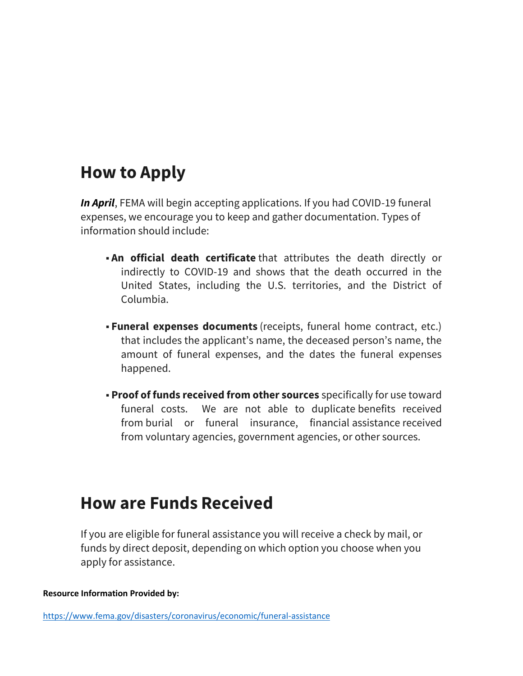### **How to Apply**

*In April*, FEMA will begin accepting applications. If you had COVID-19 funeral expenses, we encourage you to keep and gather documentation. Types of information should include:

- **-An official death certificate** that attributes the death directly or indirectly to COVID-19 and shows that the death occurred in the United States, including the U.S. territories, and the District of Columbia.
- **Funeral expenses documents** (receipts, funeral home contract, etc.) that includes the applicant's name, the deceased person's name, the amount of funeral expenses, and the dates the funeral expenses happened.
- **Proof of funds received from other sources** specifically for use toward funeral costs. We are not able to duplicate benefits received from burial or funeral insurance, financial assistance received from voluntary agencies, government agencies, or other sources.

#### **How are Funds Received**

If you are eligible for funeral assistance you will receive a check by mail, or funds by direct deposit, depending on which option you choose when you apply for assistance.

**Resource Information Provided by:**